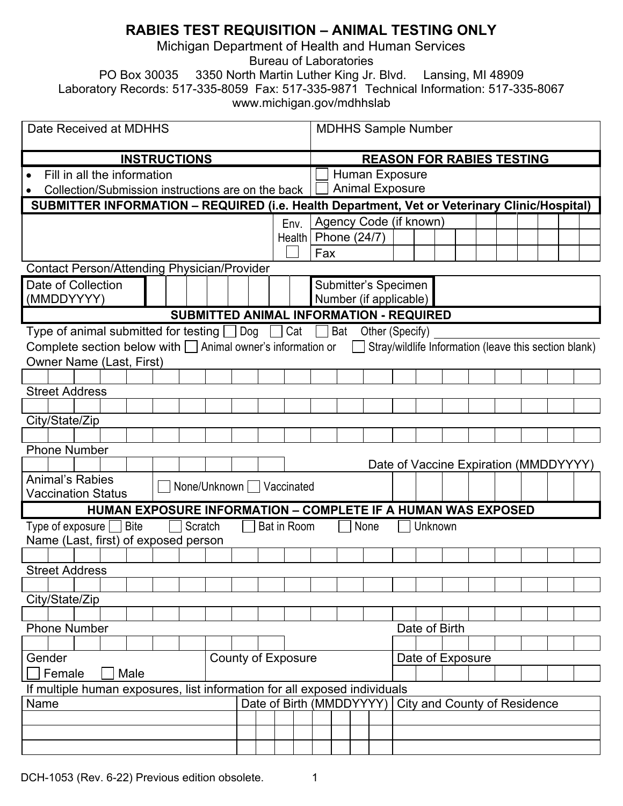# **RABIES TEST REQUISITION – ANIMAL TESTING ONLY**

Michigan Department of Health and Human Services

Bureau of Laboratories

PO Box 30035 3350 North Martin Luther King Jr. Blvd. Lansing, MI 48909

Laboratory Records: 517-335-8059 Fax: 517-335-9871 Technical Information: 517-335-8067 www.michigan.gov/mdhhslab

| Date Received at MDHHS                                                                                                           |                      |                                  | <b>MDHHS Sample Number</b> |  |                                       |  |  |  |  |  |  |
|----------------------------------------------------------------------------------------------------------------------------------|----------------------|----------------------------------|----------------------------|--|---------------------------------------|--|--|--|--|--|--|
| <b>INSTRUCTIONS</b>                                                                                                              |                      | <b>REASON FOR RABIES TESTING</b> |                            |  |                                       |  |  |  |  |  |  |
| Fill in all the information                                                                                                      |                      | <b>Human Exposure</b>            |                            |  |                                       |  |  |  |  |  |  |
| Collection/Submission instructions are on the back                                                                               |                      |                                  | <b>Animal Exposure</b>     |  |                                       |  |  |  |  |  |  |
| SUBMITTER INFORMATION - REQUIRED (i.e. Health Department, Vet or Veterinary Clinic/Hospital)                                     |                      |                                  |                            |  |                                       |  |  |  |  |  |  |
| Env.                                                                                                                             |                      |                                  | Agency Code (if known)     |  |                                       |  |  |  |  |  |  |
|                                                                                                                                  | <b>Health</b>        |                                  | Phone (24/7)               |  |                                       |  |  |  |  |  |  |
|                                                                                                                                  |                      | Fax                              |                            |  |                                       |  |  |  |  |  |  |
| Contact Person/Attending Physician/Provider                                                                                      |                      |                                  |                            |  |                                       |  |  |  |  |  |  |
| Date of Collection                                                                                                               | Submitter's Specimen |                                  |                            |  |                                       |  |  |  |  |  |  |
| (MMDDYYYY)<br>Number (if applicable)                                                                                             |                      |                                  |                            |  |                                       |  |  |  |  |  |  |
| SUBMITTED ANIMAL INFORMATION - REQUIRED                                                                                          |                      |                                  |                            |  |                                       |  |  |  |  |  |  |
| Type of animal submitted for testing $\Box$ Dog $\Box$ Cat $\Box$ Bat<br>Other (Specify)                                         |                      |                                  |                            |  |                                       |  |  |  |  |  |  |
| Complete section below with $\Box$ Animal owner's information or $\Box$<br>Stray/wildlife Information (leave this section blank) |                      |                                  |                            |  |                                       |  |  |  |  |  |  |
| <b>Owner Name (Last, First)</b>                                                                                                  |                      |                                  |                            |  |                                       |  |  |  |  |  |  |
|                                                                                                                                  |                      |                                  |                            |  |                                       |  |  |  |  |  |  |
| <b>Street Address</b>                                                                                                            |                      |                                  |                            |  |                                       |  |  |  |  |  |  |
|                                                                                                                                  |                      |                                  |                            |  |                                       |  |  |  |  |  |  |
| City/State/Zip                                                                                                                   |                      |                                  |                            |  |                                       |  |  |  |  |  |  |
|                                                                                                                                  |                      |                                  |                            |  |                                       |  |  |  |  |  |  |
| <b>Phone Number</b>                                                                                                              |                      |                                  |                            |  |                                       |  |  |  |  |  |  |
|                                                                                                                                  |                      |                                  |                            |  | Date of Vaccine Expiration (MMDDYYYY) |  |  |  |  |  |  |
| <b>Animal's Rabies</b><br>None/Unknown Vaccinated<br><b>Vaccination Status</b>                                                   |                      |                                  |                            |  |                                       |  |  |  |  |  |  |
| HUMAN EXPOSURE INFORMATION - COMPLETE IF A HUMAN WAS EXPOSED                                                                     |                      |                                  |                            |  |                                       |  |  |  |  |  |  |
| Type of exposure $\Box$ Bite<br>Scratch<br>Bat in Room<br>None<br>Unknown                                                        |                      |                                  |                            |  |                                       |  |  |  |  |  |  |
| Name (Last, first) of exposed person                                                                                             |                      |                                  |                            |  |                                       |  |  |  |  |  |  |
|                                                                                                                                  |                      |                                  |                            |  |                                       |  |  |  |  |  |  |
| <b>Street Address</b>                                                                                                            |                      |                                  |                            |  |                                       |  |  |  |  |  |  |
|                                                                                                                                  |                      |                                  |                            |  |                                       |  |  |  |  |  |  |
| City/State/Zip                                                                                                                   |                      |                                  |                            |  |                                       |  |  |  |  |  |  |
|                                                                                                                                  |                      |                                  |                            |  |                                       |  |  |  |  |  |  |
| <b>Phone Number</b>                                                                                                              |                      |                                  |                            |  | Date of Birth                         |  |  |  |  |  |  |
|                                                                                                                                  |                      |                                  |                            |  |                                       |  |  |  |  |  |  |
| <b>County of Exposure</b><br>Gender                                                                                              |                      |                                  | Date of Exposure           |  |                                       |  |  |  |  |  |  |
| Female<br>Male                                                                                                                   |                      |                                  |                            |  |                                       |  |  |  |  |  |  |
| If multiple human exposures, list information for all exposed individuals                                                        |                      |                                  |                            |  |                                       |  |  |  |  |  |  |
| Date of Birth (MMDDYYYY)<br>Name                                                                                                 |                      |                                  |                            |  | <b>City and County of Residence</b>   |  |  |  |  |  |  |
|                                                                                                                                  |                      |                                  |                            |  |                                       |  |  |  |  |  |  |
|                                                                                                                                  |                      |                                  |                            |  |                                       |  |  |  |  |  |  |
|                                                                                                                                  |                      |                                  |                            |  |                                       |  |  |  |  |  |  |